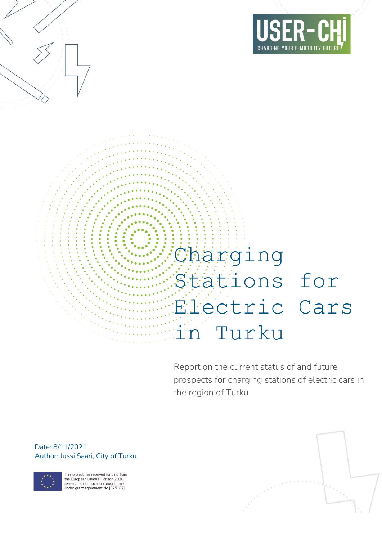

# Charging Stations for Electric Cars in Turku

Report on the current status of and future prospects for charging stations of electric cars in the region of Turku

Date: 8/11/2021 Author: Jussi Saari, City of Turku



This project has received funding from the European Union's Horizon 2020 research and innovation programme<br>under grant agreement No [875187]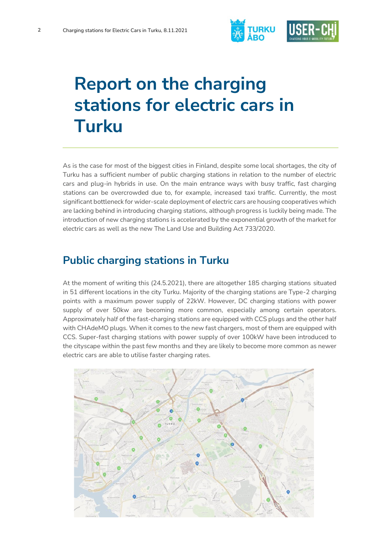

## **Report on the charging stations for electric cars in Turku**

As is the case for most of the biggest cities in Finland, despite some local shortages, the city of Turku has a sufficient number of public charging stations in relation to the number of electric cars and plug-in hybrids in use. On the main entrance ways with busy traffic, fast charging stations can be overcrowded due to, for example, increased taxi traffic. Currently, the most significant bottleneck for wider-scale deployment of electric cars are housing cooperatives which are lacking behind in introducing charging stations, although progress is luckily being made. The introduction of new charging stations is accelerated by the exponential growth of the market for electric cars as well as the new The Land Use and Building Act 733/2020.

#### **Public charging stations in Turku**

At the moment of writing this (24.5.2021), there are altogether 185 charging stations situated in 51 different locations in the city Turku. Majority of the charging stations are Type-2 charging points with a maximum power supply of 22kW. However, DC charging stations with power supply of over 50kw are becoming more common, especially among certain operators. Approximately half of the fast-charging stations are equipped with CCS plugs and the other half with CHAdeMO plugs. When it comes to the new fast chargers, most of them are equipped with CCS. Super-fast charging stations with power supply of over 100kW have been introduced to the cityscape within the past few months and they are likely to become more common as newer electric cars are able to utilise faster charging rates.

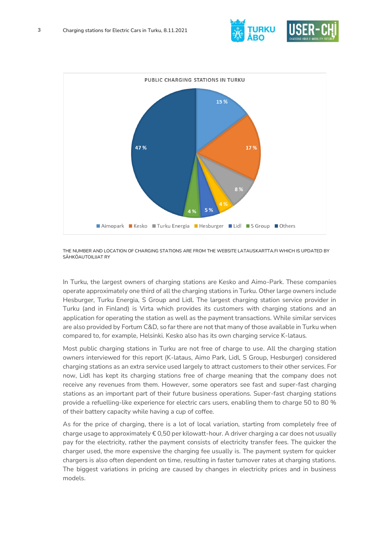



THE NUMBER AND LOCATION OF CHARGING STATIONS ARE FROM THE WEBSITE LATAUSKARTTA.FI WHICH IS UPDATED BY SÄHKÖAUTOILIJAT RY

In Turku, the largest owners of charging stations are Kesko and Aimo-Park. These companies operate approximately one third of all the charging stations in Turku. Other large owners include Hesburger, Turku Energia, S Group and Lidl. The largest charging station service provider in Turku (and in Finland) is Virta which provides its customers with charging stations and an application for operating the station as well as the payment transactions. While similar services are also provided by Fortum C&D, so far there are not that many of those available in Turku when compared to, for example, Helsinki. Kesko also has its own charging service K-lataus.

Most public charging stations in Turku are not free of charge to use. All the charging station owners interviewed for this report (K-lataus, Aimo Park, Lidl, S Group, Hesburger) considered charging stations as an extra service used largely to attract customers to their other services. For now, Lidl has kept its charging stations free of charge meaning that the company does not receive any revenues from them. However, some operators see fast and super-fast charging stations as an important part of their future business operations. Super-fast charging stations provide a refuelling-like experience for electric cars users, enabling them to charge 50 to 80 % of their battery capacity while having a cup of coffee.

As for the price of charging, there is a lot of local variation, starting from completely free of charge usage to approximately  $\epsilon$  0,50 per kilowatt-hour. A driver charging a car does not usually pay for the electricity, rather the payment consists of electricity transfer fees. The quicker the charger used, the more expensive the charging fee usually is. The payment system for quicker chargers is also often dependent on time, resulting in faster turnover rates at charging stations. The biggest variations in pricing are caused by changes in electricity prices and in business models.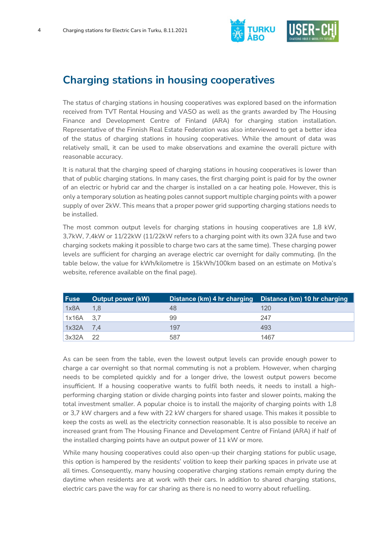

### **Charging stations in housing cooperatives**

The status of charging stations in housing cooperatives was explored based on the information received from TVT Rental Housing and VASO as well as the grants awarded by The Housing Finance and Development Centre of Finland (ARA) for charging station installation. Representative of the Finnish Real Estate Federation was also interviewed to get a better idea of the status of charging stations in housing cooperatives. While the amount of data was relatively small, it can be used to make observations and examine the overall picture with reasonable accuracy.

It is natural that the charging speed of charging stations in housing cooperatives is lower than that of public charging stations. In many cases, the first charging point is paid for by the owner of an electric or hybrid car and the charger is installed on a car heating pole. However, this is only a temporary solution as heating poles cannot support multiple charging points with a power supply of over 2kW. This means that a proper power grid supporting charging stations needs to be installed.

The most common output levels for charging stations in housing cooperatives are 1,8 kW, 3,7kW, 7,4kW or 11/22kW (11/22kW refers to a charging point with its own 32A fuse and two charging sockets making it possible to charge two cars at the same time). These charging power levels are sufficient for charging an average electric car overnight for daily commuting. (In the table below, the value for kWh/kilometre is 15kWh/100km based on an estimate on Motiva's website, reference available on the final page).

| <b>Fuse</b> | <b>Output power (kW)</b> |     | Distance (km) 4 hr charging Distance (km) 10 hr charging |
|-------------|--------------------------|-----|----------------------------------------------------------|
| 1x8A        | 1,8                      | 48  | 120                                                      |
| 1x16A       | 3,7                      | 99  | 247                                                      |
| 1x32A       | 7.4                      | 197 | 493                                                      |
| 3x32A       | 22                       | 587 | 1467                                                     |

As can be seen from the table, even the lowest output levels can provide enough power to charge a car overnight so that normal commuting is not a problem. However, when charging needs to be completed quickly and for a longer drive, the lowest output powers become insufficient. If a housing cooperative wants to fulfil both needs, it needs to install a highperforming charging station or divide charging points into faster and slower points, making the total investment smaller. A popular choice is to install the majority of charging points with 1,8 or 3,7 kW chargers and a few with 22 kW chargers for shared usage. This makes it possible to keep the costs as well as the electricity connection reasonable. It is also possible to receive an increased grant from The Housing Finance and Development Centre of Finland (ARA) if half of the installed charging points have an output power of 11 kW or more.

While many housing cooperatives could also open-up their charging stations for public usage, this option is hampered by the residents' volition to keep their parking spaces in private use at all times. Consequently, many housing cooperative charging stations remain empty during the daytime when residents are at work with their cars. In addition to shared charging stations, electric cars pave the way for car sharing as there is no need to worry about refuelling.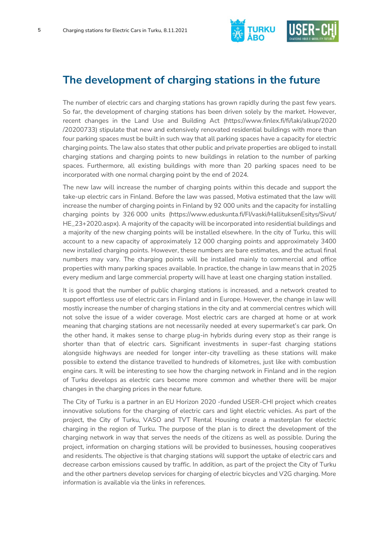

#### **The development of charging stations in the future**

The number of electric cars and charging stations has grown rapidly during the past few years. So far, the development of charging stations has been driven solely by the market. However, recent changes in the Land Use and Building Act (https://www.finlex.fi/fi/laki/alkup/2020 /20200733) stipulate that new and extensively renovated residential buildings with more than four parking spaces must be built in such way that all parking spaces have a capacity for electric charging points. The law also states that other public and private properties are obliged to install charging stations and charging points to new buildings in relation to the number of parking spaces. Furthermore, all existing buildings with more than 20 parking spaces need to be incorporated with one normal charging point by the end of 2024.

The new law will increase the number of charging points within this decade and support the take-up electric cars in Finland. Before the law was passed, Motiva estimated that the law will increase the number of charging points in Finland by 92 000 units and the capacity for installing charging points by 326 000 units (https://www.eduskunta.fi/FI/vaski/HallituksenEsitys/Sivut/ HE\_23+2020.aspx). A majority of the capacity will be incorporated into residential buildings and a majority of the new charging points will be installed elsewhere. In the city of Turku, this will account to a new capacity of approximately 12 000 charging points and approximately 3400 new installed charging points. However, these numbers are bare estimates, and the actual final numbers may vary. The charging points will be installed mainly to commercial and office properties with many parking spaces available. In practice, the change in law means that in 2025 every medium and large commercial property will have at least one charging station installed.

It is good that the number of public charging stations is increased, and a network created to support effortless use of electric cars in Finland and in Europe. However, the change in law will mostly increase the number of charging stations in the city and at commercial centres which will not solve the issue of a wider coverage. Most electric cars are charged at home or at work meaning that charging stations are not necessarily needed at every supermarket's car park. On the other hand, it makes sense to charge plug-in hybrids during every stop as their range is shorter than that of electric cars. Significant investments in super-fast charging stations alongside highways are needed for longer inter-city travelling as these stations will make possible to extend the distance travelled to hundreds of kilometres, just like with combustion engine cars. It will be interesting to see how the charging network in Finland and in the region of Turku develops as electric cars become more common and whether there will be major changes in the charging prices in the near future.

The City of Turku is a partner in an EU Horizon 2020 -funded USER-CHI project which creates innovative solutions for the charging of electric cars and light electric vehicles. As part of the project, the City of Turku, VASO and TVT Rental Housing create a masterplan for electric charging in the region of Turku. The purpose of the plan is to direct the development of the charging network in way that serves the needs of the citizens as well as possible. During the project, information on charging stations will be provided to businesses, housing cooperatives and residents. The objective is that charging stations will support the uptake of electric cars and decrease carbon emissions caused by traffic. In addition, as part of the project the City of Turku and the other partners develop services for charging of electric bicycles and V2G charging. More information is available via the links in references.